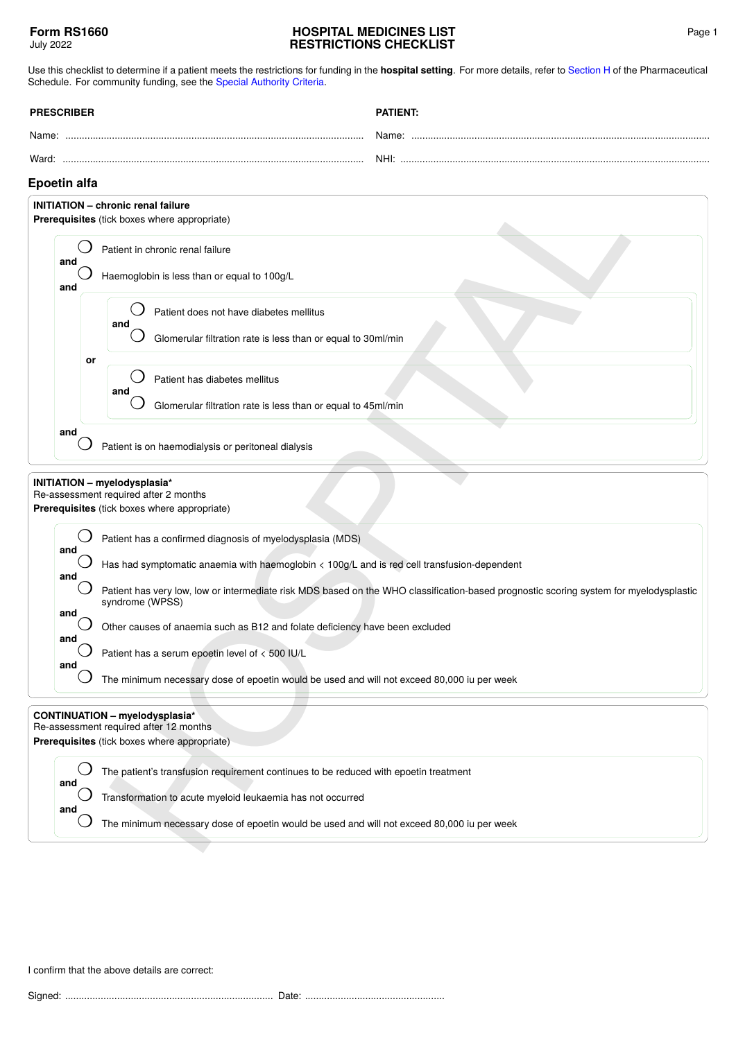## **HOSPITAL MEDICINES LIST RESTRICTIONS CHECKLIST**

Use this checklist to determine if a patient meets the restrictions for funding in the **hospital setting**. For more details, refer to [Section H](https://pharmac.govt.nz/section-h/) of the Pharmaceutical Schedule. For community funding, see the [Special Authority Criteria](https://pharmac.govt.nz/SAForms/).

| <b>PRESCRIBER</b> | PATIFNT |
|-------------------|---------|
| Name:             | Name:   |
| Ward:             | NHI:    |

## **Epoetin alfa**

| <b>Epoetin alfa</b>                                                                                                   |                                                                                                                                                           |                                                                                            |  |  |
|-----------------------------------------------------------------------------------------------------------------------|-----------------------------------------------------------------------------------------------------------------------------------------------------------|--------------------------------------------------------------------------------------------|--|--|
| <b>INITIATION - chronic renal failure</b><br>Prerequisites (tick boxes where appropriate)                             |                                                                                                                                                           |                                                                                            |  |  |
| and                                                                                                                   |                                                                                                                                                           | Patient in chronic renal failure                                                           |  |  |
| and                                                                                                                   | Haemoglobin is less than or equal to 100g/L                                                                                                               |                                                                                            |  |  |
|                                                                                                                       |                                                                                                                                                           | Patient does not have diabetes mellitus<br>and                                             |  |  |
|                                                                                                                       |                                                                                                                                                           | Glomerular filtration rate is less than or equal to 30ml/min                               |  |  |
|                                                                                                                       | or                                                                                                                                                        | Patient has diabetes mellitus                                                              |  |  |
|                                                                                                                       |                                                                                                                                                           | and<br>Glomerular filtration rate is less than or equal to 45ml/min                        |  |  |
|                                                                                                                       | and<br>Patient is on haemodialysis or peritoneal dialysis                                                                                                 |                                                                                            |  |  |
| INITIATION - myelodysplasia*<br>Re-assessment required after 2 months<br>Prerequisites (tick boxes where appropriate) |                                                                                                                                                           |                                                                                            |  |  |
|                                                                                                                       | Patient has a confirmed diagnosis of myelodysplasia (MDS)                                                                                                 |                                                                                            |  |  |
|                                                                                                                       | and<br>Has had symptomatic anaemia with haemoglobin < 100g/L and is red cell transfusion-dependent<br>and                                                 |                                                                                            |  |  |
|                                                                                                                       | Patient has very low, low or intermediate risk MDS based on the WHO classification-based prognostic scoring system for myelodysplastic<br>syndrome (WPSS) |                                                                                            |  |  |
| and<br>and                                                                                                            |                                                                                                                                                           | Other causes of anaemia such as B12 and folate deficiency have been excluded               |  |  |
| and                                                                                                                   |                                                                                                                                                           | Patient has a serum epoetin level of < 500 IU/L                                            |  |  |
|                                                                                                                       |                                                                                                                                                           | The minimum necessary dose of epoetin would be used and will not exceed 80,000 iu per week |  |  |
|                                                                                                                       | <b>CONTINUATION - myelodysplasia*</b><br>Re-assessment required after 12 months<br>Prerequisites (tick boxes where appropriate)                           |                                                                                            |  |  |
| and                                                                                                                   |                                                                                                                                                           | The patient's transfusion requirement continues to be reduced with epoetin treatment       |  |  |
| and                                                                                                                   |                                                                                                                                                           | Transformation to acute myeloid leukaemia has not occurred                                 |  |  |
|                                                                                                                       |                                                                                                                                                           | The minimum necessary dose of epoetin would be used and will not exceed 80,000 iu per week |  |  |
|                                                                                                                       |                                                                                                                                                           |                                                                                            |  |  |